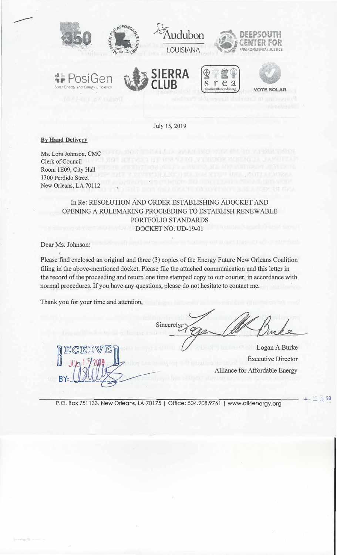

*�r* PosiGen Solar Energy and Energy Efficiency







July 15, 2019

**By Hand Delivery** 

Ms. Lora Johnson, CMC Clerk of Council Room 1E09, City Hall 1300 Perdido Street New Orleans, LA 70112

> In Re: RESOLUTION AND ORDER ESTABLISHING ADOCKET AND OPENING A RULEMAKING PROCEEDING TO ESTABLISH RENEWABLE PORTFOLIO STANDARDS DOCKET NO. UD-19-01

Dear Ms. Johnson:

Please find enclosed an original and three (3) copies of the Energy Future New Orleans Coalition filing in the above-mentioned docket. Please file the attached communication and this letter in the record of the proceeding and return one time stamped copy to our courier, in accordance with normal procedures. If you have any questions, please do not hesitate to contact me.

Thank you for your time and attention,

 $\left[ \begin{matrix} 0 & \mathbb{E} \mathbb{G} \mathbb{E} \mathbb{I} \mathbb{V} \mathbb{E} \mathbb{I} \ \mathbb{I} \end{matrix} \right]$ 

 $M_{JU_2}$  1  $\frac{9}{2}$ 

 $BY:$ 

Sincerely

Logan A Burke Executive Director Alliance for Affordable Energy

P.O. Box 751133, New Orleans, LA 70175 | Office: 504.208.9761 | www.all4energy.org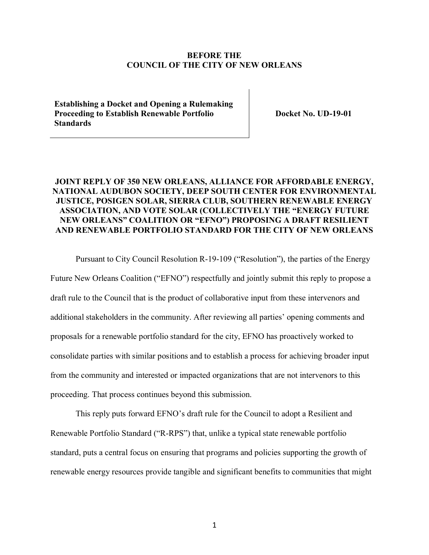#### **BEFORE THE COUNCIL OF THE CITY OF NEW ORLEANS**

**Establishing a Docket and Opening a Rulemaking Proceeding to Establish Renewable Portfolio Standards** 

**Docket No. UD-19-01** 

## **JOINT REPLY OF 350 NEW ORLEANS, ALLIANCE FOR AFFORDABLE ENERGY, NATIONAL AUDUBON SOCIETY, DEEP SOUTH CENTER FOR ENVIRONMENTAL JUSTICE, POSIGEN SOLAR, SIERRA CLUB, SOUTHERN RENEWABLE ENERGY ASSOCIATION, AND VOTE SOLAR (COLLECTIVELY THE "ENERGY FUTURE NEW ORLEANS" COALITION OR "EFNO") PROPOSING A DRAFT RESILIENT AND RENEWABLE PORTFOLIO STANDARD FOR THE CITY OF NEW ORLEANS**

Pursuant to City Council Resolution R-19-109 ("Resolution"), the parties of the Energy Future New Orleans Coalition ("EFNO") respectfully and jointly submit this reply to propose a draft rule to the Council that is the product of collaborative input from these intervenors and additional stakeholders in the community. After reviewing all parties' opening comments and proposals for a renewable portfolio standard for the city, EFNO has proactively worked to consolidate parties with similar positions and to establish a process for achieving broader input from the community and interested or impacted organizations that are not intervenors to this proceeding. That process continues beyond this submission.

This reply puts forward EFNO's draft rule for the Council to adopt a Resilient and Renewable Portfolio Standard ("R-RPS") that, unlike a typical state renewable portfolio standard, puts a central focus on ensuring that programs and policies supporting the growth of renewable energy resources provide tangible and significant benefits to communities that might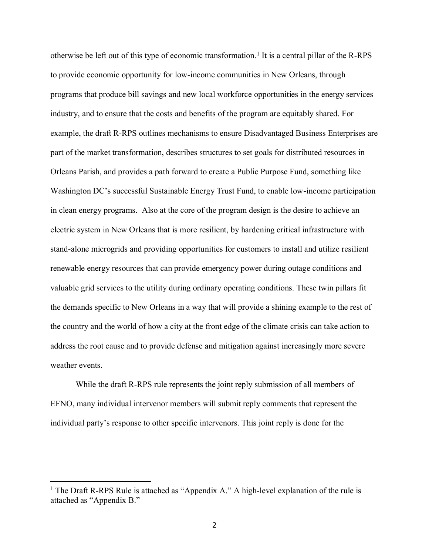otherwise be left out of this type of economic transformation.<sup>1</sup> It is a central pillar of the R-RPS to provide economic opportunity for low-income communities in New Orleans, through programs that produce bill savings and new local workforce opportunities in the energy services industry, and to ensure that the costs and benefits of the program are equitably shared. For example, the draft R-RPS outlines mechanisms to ensure Disadvantaged Business Enterprises are part of the market transformation, describes structures to set goals for distributed resources in Orleans Parish, and provides a path forward to create a Public Purpose Fund, something like Washington DC's successful Sustainable Energy Trust Fund, to enable low-income participation in clean energy programs. Also at the core of the program design is the desire to achieve an electric system in New Orleans that is more resilient, by hardening critical infrastructure with stand-alone microgrids and providing opportunities for customers to install and utilize resilient renewable energy resources that can provide emergency power during outage conditions and valuable grid services to the utility during ordinary operating conditions. These twin pillars fit the demands specific to New Orleans in a way that will provide a shining example to the rest of the country and the world of how a city at the front edge of the climate crisis can take action to address the root cause and to provide defense and mitigation against increasingly more severe weather events.

While the draft R-RPS rule represents the joint reply submission of all members of EFNO, many individual intervenor members will submit reply comments that represent the individual party's response to other specific intervenors. This joint reply is done for the

<sup>&</sup>lt;sup>1</sup> The Draft R-RPS Rule is attached as "Appendix A." A high-level explanation of the rule is attached as "Appendix B."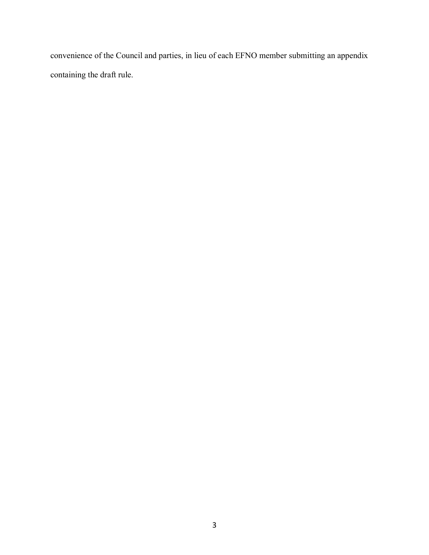convenience of the Council and parties, in lieu of each EFNO member submitting an appendix containing the draft rule.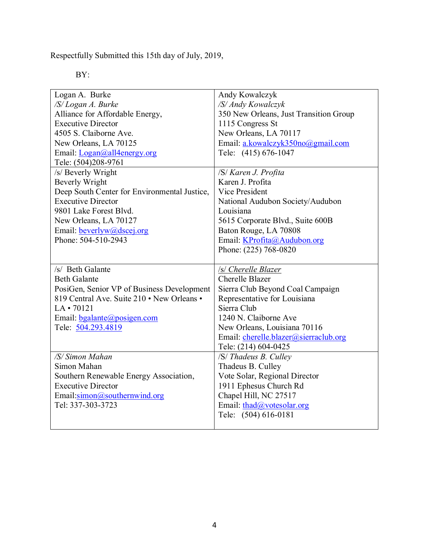Respectfully Submitted this 15th day of July, 2019,

BY:

| Logan A. Burke                               | Andy Kowalczyk                         |  |  |
|----------------------------------------------|----------------------------------------|--|--|
| /S/Logan A. Burke                            | /S/ Andy Kowalczyk                     |  |  |
| Alliance for Affordable Energy,              | 350 New Orleans, Just Transition Group |  |  |
| <b>Executive Director</b>                    | 1115 Congress St                       |  |  |
| 4505 S. Claiborne Ave.                       | New Orleans, LA 70117                  |  |  |
| New Orleans, LA 70125                        | Email: a.kowalczyk350no@gmail.com      |  |  |
| Email: <i>Logan@all4energy.org</i>           | Tele: (415) 676-1047                   |  |  |
| Tele: (504)208-9761                          |                                        |  |  |
| /s/ Beverly Wright                           | /S/ Karen J. Profita                   |  |  |
| <b>Beverly Wright</b>                        | Karen J. Profita                       |  |  |
| Deep South Center for Environmental Justice, | Vice President                         |  |  |
| <b>Executive Director</b>                    | National Audubon Society/Audubon       |  |  |
| 9801 Lake Forest Blvd.                       | Louisiana                              |  |  |
| New Orleans, LA 70127                        | 5615 Corporate Blvd., Suite 600B       |  |  |
| Email: beverlyw@dscej.org                    | Baton Rouge, LA 70808                  |  |  |
| Phone: 504-510-2943                          | Email: KProfita@Audubon.org            |  |  |
|                                              | Phone: (225) 768-0820                  |  |  |
|                                              |                                        |  |  |
| /s/ Beth Galante                             | /s/ Cherelle Blazer                    |  |  |
| <b>Beth Galante</b>                          | <b>Cherelle Blazer</b>                 |  |  |
|                                              |                                        |  |  |
| PosiGen, Senior VP of Business Development   | Sierra Club Beyond Coal Campaign       |  |  |
| 819 Central Ave. Suite 210 • New Orleans •   | Representative for Louisiana           |  |  |
| $LA \cdot 70121$                             | Sierra Club                            |  |  |
| Email: bgalante@posigen.com                  | 1240 N. Claiborne Ave                  |  |  |
| Tele: 504.293.4819                           | New Orleans, Louisiana 70116           |  |  |
|                                              | Email: cherelle.blazer@sierraclub.org  |  |  |
|                                              | Tele: (214) 604-0425                   |  |  |
| /S/ Simon Mahan                              | /S/ Thadeus B. Culley                  |  |  |
| Simon Mahan                                  | Thadeus B. Culley                      |  |  |
| Southern Renewable Energy Association,       | Vote Solar, Regional Director          |  |  |
| <b>Executive Director</b>                    | 1911 Ephesus Church Rd                 |  |  |
| Email:simon@southernwind.org                 | Chapel Hill, NC 27517                  |  |  |
| Tel: 337-303-3723                            | Email: $\text{thad}(a)$ votesolar.org  |  |  |
|                                              | Tele: (504) 616-0181                   |  |  |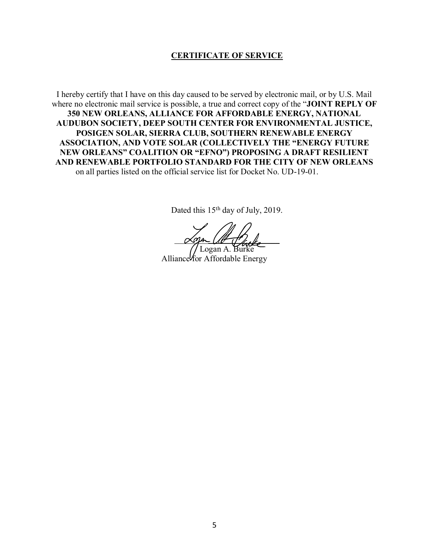### **CERTIFICATE OF SERVICE**

I hereby certify that I have on this day caused to be served by electronic mail, or by U.S. Mail where no electronic mail service is possible, a true and correct copy of the "**JOINT REPLY OF 350 NEW ORLEANS, ALLIANCE FOR AFFORDABLE ENERGY, NATIONAL AUDUBON SOCIETY, DEEP SOUTH CENTER FOR ENVIRONMENTAL JUSTICE, POSIGEN SOLAR, SIERRA CLUB, SOUTHERN RENEWABLE ENERGY ASSOCIATION, AND VOTE SOLAR (COLLECTIVELY THE "ENERGY FUTURE NEW ORLEANS" COALITION OR "EFNO") PROPOSING A DRAFT RESILIENT AND RENEWABLE PORTFOLIO STANDARD FOR THE CITY OF NEW ORLEANS** on all parties listed on the official service list for Docket No. UD-19-01.

Dated this 15<sup>th</sup> day of July, 2019.

 $\alpha$ ga Utt d'alla

Logan A. Alliance for Affordable Energy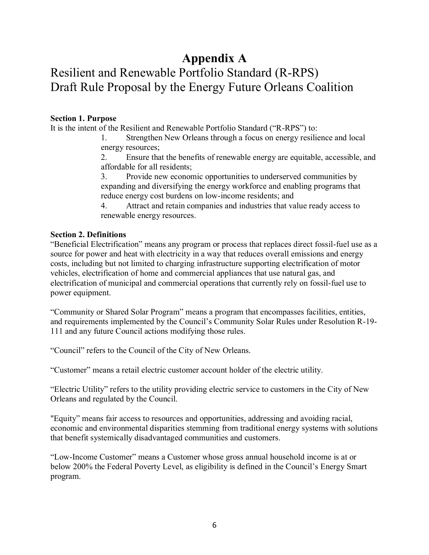# **Appendix A**

# Resilient and Renewable Portfolio Standard (R-RPS) Draft Rule Proposal by the Energy Future Orleans Coalition

### **Section 1. Purpose**

It is the intent of the Resilient and Renewable Portfolio Standard ("R-RPS") to:

1. Strengthen New Orleans through a focus on energy resilience and local energy resources;

2. Ensure that the benefits of renewable energy are equitable, accessible, and affordable for all residents;

3. Provide new economic opportunities to underserved communities by expanding and diversifying the energy workforce and enabling programs that reduce energy cost burdens on low-income residents; and

4. Attract and retain companies and industries that value ready access to renewable energy resources.

### **Section 2. Definitions**

"Beneficial Electrification" means any program or process that replaces direct fossil-fuel use as a source for power and heat with electricity in a way that reduces overall emissions and energy costs, including but not limited to charging infrastructure supporting electrification of motor vehicles, electrification of home and commercial appliances that use natural gas, and electrification of municipal and commercial operations that currently rely on fossil-fuel use to power equipment.

"Community or Shared Solar Program" means a program that encompasses facilities, entities, and requirements implemented by the Council's Community Solar Rules under Resolution R-19- 111 and any future Council actions modifying those rules.

"Council" refers to the Council of the City of New Orleans.

"Customer" means a retail electric customer account holder of the electric utility.

"Electric Utility" refers to the utility providing electric service to customers in the City of New Orleans and regulated by the Council.

"Equity" means fair access to resources and opportunities, addressing and avoiding racial, economic and environmental disparities stemming from traditional energy systems with solutions that benefit systemically disadvantaged communities and customers.

"Low-Income Customer" means a Customer whose gross annual household income is at or below 200% the Federal Poverty Level, as eligibility is defined in the Council's Energy Smart program.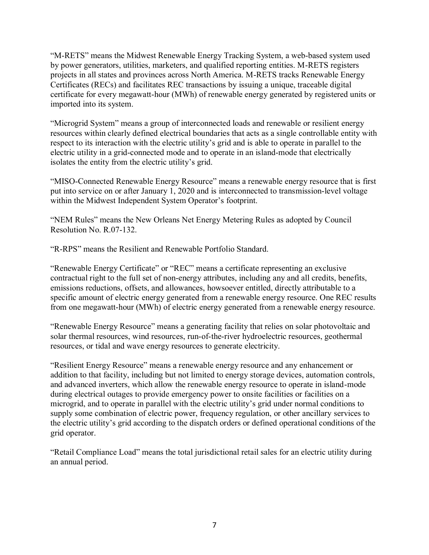"M-RETS" means the Midwest Renewable Energy Tracking System, a web-based system used by power generators, utilities, marketers, and qualified reporting entities. M-RETS registers projects in all states and provinces across North America. M-RETS tracks Renewable Energy Certificates (RECs) and facilitates REC transactions by issuing a unique, traceable digital certificate for every megawatt-hour (MWh) of renewable energy generated by registered units or imported into its system.

"Microgrid System" means a group of interconnected loads and renewable or resilient energy resources within clearly defined electrical boundaries that acts as a single controllable entity with respect to its interaction with the electric utility's grid and is able to operate in parallel to the electric utility in a grid-connected mode and to operate in an island-mode that electrically isolates the entity from the electric utility's grid.

"MISO-Connected Renewable Energy Resource" means a renewable energy resource that is first put into service on or after January 1, 2020 and is interconnected to transmission-level voltage within the Midwest Independent System Operator's footprint.

"NEM Rules" means the New Orleans Net Energy Metering Rules as adopted by Council Resolution No. R.07-132.

"R-RPS" means the Resilient and Renewable Portfolio Standard.

"Renewable Energy Certificate" or "REC" means a certificate representing an exclusive contractual right to the full set of non-energy attributes, including any and all credits, benefits, emissions reductions, offsets, and allowances, howsoever entitled, directly attributable to a specific amount of electric energy generated from a renewable energy resource. One REC results from one megawatt-hour (MWh) of electric energy generated from a renewable energy resource.

"Renewable Energy Resource" means a generating facility that relies on solar photovoltaic and solar thermal resources, wind resources, run-of-the-river hydroelectric resources, geothermal resources, or tidal and wave energy resources to generate electricity.

"Resilient Energy Resource" means a renewable energy resource and any enhancement or addition to that facility, including but not limited to energy storage devices, automation controls, and advanced inverters, which allow the renewable energy resource to operate in island-mode during electrical outages to provide emergency power to onsite facilities or facilities on a microgrid, and to operate in parallel with the electric utility's grid under normal conditions to supply some combination of electric power, frequency regulation, or other ancillary services to the electric utility's grid according to the dispatch orders or defined operational conditions of the grid operator.

"Retail Compliance Load" means the total jurisdictional retail sales for an electric utility during an annual period.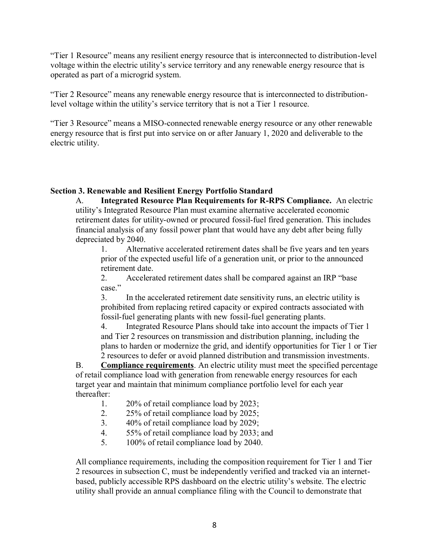"Tier 1 Resource" means any resilient energy resource that is interconnected to distribution-level voltage within the electric utility's service territory and any renewable energy resource that is operated as part of a microgrid system.

"Tier 2 Resource" means any renewable energy resource that is interconnected to distributionlevel voltage within the utility's service territory that is not a Tier 1 resource.

"Tier 3 Resource" means a MISO-connected renewable energy resource or any other renewable energy resource that is first put into service on or after January 1, 2020 and deliverable to the electric utility.

## **Section 3. Renewable and Resilient Energy Portfolio Standard**

A. **Integrated Resource Plan Requirements for R-RPS Compliance.** An electric utility's Integrated Resource Plan must examine alternative accelerated economic retirement dates for utility-owned or procured fossil-fuel fired generation. This includes financial analysis of any fossil power plant that would have any debt after being fully depreciated by 2040.

1. Alternative accelerated retirement dates shall be five years and ten years prior of the expected useful life of a generation unit, or prior to the announced retirement date.

2. Accelerated retirement dates shall be compared against an IRP "base case."

3. In the accelerated retirement date sensitivity runs, an electric utility is prohibited from replacing retired capacity or expired contracts associated with fossil-fuel generating plants with new fossil-fuel generating plants.

4. Integrated Resource Plans should take into account the impacts of Tier 1 and Tier 2 resources on transmission and distribution planning, including the plans to harden or modernize the grid, and identify opportunities for Tier 1 or Tier 2 resources to defer or avoid planned distribution and transmission investments.

B. **Compliance requirements**. An electric utility must meet the specified percentage of retail compliance load with generation from renewable energy resources for each target year and maintain that minimum compliance portfolio level for each year thereafter:

- 1. 20% of retail compliance load by 2023;
- 2. 25% of retail compliance load by 2025;
- 3. 40% of retail compliance load by 2029;
- 4. 55% of retail compliance load by 2033; and
- 5. 100% of retail compliance load by 2040.

All compliance requirements, including the composition requirement for Tier 1 and Tier 2 resources in subsection C, must be independently verified and tracked via an internetbased, publicly accessible RPS dashboard on the electric utility's website. The electric utility shall provide an annual compliance filing with the Council to demonstrate that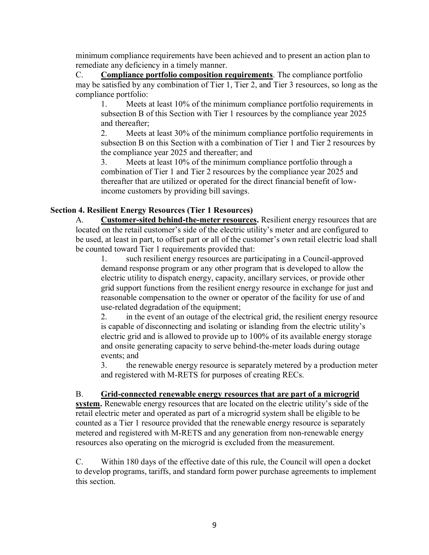minimum compliance requirements have been achieved and to present an action plan to remediate any deficiency in a timely manner.

C. **Compliance portfolio composition requirements**. The compliance portfolio may be satisfied by any combination of Tier 1, Tier 2, and Tier 3 resources, so long as the compliance portfolio:

1. Meets at least 10% of the minimum compliance portfolio requirements in subsection B of this Section with Tier 1 resources by the compliance year 2025 and thereafter;

2. Meets at least 30% of the minimum compliance portfolio requirements in subsection B on this Section with a combination of Tier 1 and Tier 2 resources by the compliance year 2025 and thereafter; and

3. Meets at least 10% of the minimum compliance portfolio through a combination of Tier 1 and Tier 2 resources by the compliance year 2025 and thereafter that are utilized or operated for the direct financial benefit of lowincome customers by providing bill savings.

# **Section 4. Resilient Energy Resources (Tier 1 Resources)**

A. **Customer-sited behind-the-meter resources.** Resilient energy resources that are located on the retail customer's side of the electric utility's meter and are configured to be used, at least in part, to offset part or all of the customer's own retail electric load shall be counted toward Tier 1 requirements provided that:

1. such resilient energy resources are participating in a Council-approved demand response program or any other program that is developed to allow the electric utility to dispatch energy, capacity, ancillary services, or provide other grid support functions from the resilient energy resource in exchange for just and reasonable compensation to the owner or operator of the facility for use of and use-related degradation of the equipment;

2. in the event of an outage of the electrical grid, the resilient energy resource is capable of disconnecting and isolating or islanding from the electric utility's electric grid and is allowed to provide up to 100% of its available energy storage and onsite generating capacity to serve behind-the-meter loads during outage events; and

3. the renewable energy resource is separately metered by a production meter and registered with M-RETS for purposes of creating RECs.

## B. **Grid-connected renewable energy resources that are part of a microgrid**

**system.** Renewable energy resources that are located on the electric utility's side of the retail electric meter and operated as part of a microgrid system shall be eligible to be counted as a Tier 1 resource provided that the renewable energy resource is separately metered and registered with M-RETS and any generation from non-renewable energy resources also operating on the microgrid is excluded from the measurement.

C. Within 180 days of the effective date of this rule, the Council will open a docket to develop programs, tariffs, and standard form power purchase agreements to implement this section.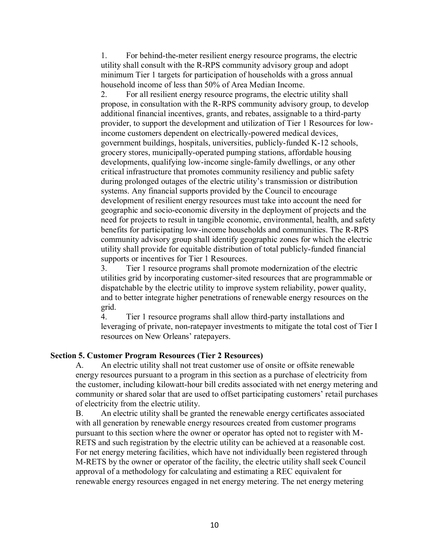1. For behind-the-meter resilient energy resource programs, the electric utility shall consult with the R-RPS community advisory group and adopt minimum Tier 1 targets for participation of households with a gross annual household income of less than 50% of Area Median Income.

2. For all resilient energy resource programs, the electric utility shall propose, in consultation with the R-RPS community advisory group, to develop additional financial incentives, grants, and rebates, assignable to a third-party provider, to support the development and utilization of Tier 1 Resources for lowincome customers dependent on electrically-powered medical devices, government buildings, hospitals, universities, publicly-funded K-12 schools, grocery stores, municipally-operated pumping stations, affordable housing developments, qualifying low-income single-family dwellings, or any other critical infrastructure that promotes community resiliency and public safety during prolonged outages of the electric utility's transmission or distribution systems. Any financial supports provided by the Council to encourage development of resilient energy resources must take into account the need for geographic and socio-economic diversity in the deployment of projects and the need for projects to result in tangible economic, environmental, health, and safety benefits for participating low-income households and communities. The R-RPS community advisory group shall identify geographic zones for which the electric utility shall provide for equitable distribution of total publicly-funded financial supports or incentives for Tier 1 Resources.

3. Tier 1 resource programs shall promote modernization of the electric utilities grid by incorporating customer-sited resources that are programmable or dispatchable by the electric utility to improve system reliability, power quality, and to better integrate higher penetrations of renewable energy resources on the grid.

4. Tier 1 resource programs shall allow third-party installations and leveraging of private, non-ratepayer investments to mitigate the total cost of Tier I resources on New Orleans' ratepayers.

### **Section 5. Customer Program Resources (Tier 2 Resources)**

A. An electric utility shall not treat customer use of onsite or offsite renewable energy resources pursuant to a program in this section as a purchase of electricity from the customer, including kilowatt-hour bill credits associated with net energy metering and community or shared solar that are used to offset participating customers' retail purchases of electricity from the electric utility.

B. An electric utility shall be granted the renewable energy certificates associated with all generation by renewable energy resources created from customer programs pursuant to this section where the owner or operator has opted not to register with M-RETS and such registration by the electric utility can be achieved at a reasonable cost. For net energy metering facilities, which have not individually been registered through M-RETS by the owner or operator of the facility, the electric utility shall seek Council approval of a methodology for calculating and estimating a REC equivalent for renewable energy resources engaged in net energy metering. The net energy metering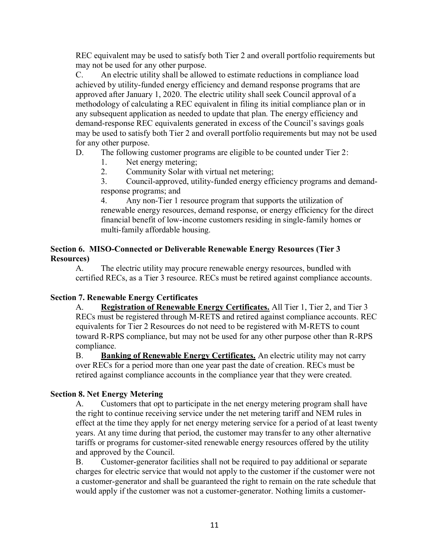REC equivalent may be used to satisfy both Tier 2 and overall portfolio requirements but may not be used for any other purpose.

C. An electric utility shall be allowed to estimate reductions in compliance load achieved by utility-funded energy efficiency and demand response programs that are approved after January 1, 2020. The electric utility shall seek Council approval of a methodology of calculating a REC equivalent in filing its initial compliance plan or in any subsequent application as needed to update that plan. The energy efficiency and demand-response REC equivalents generated in excess of the Council's savings goals may be used to satisfy both Tier 2 and overall portfolio requirements but may not be used for any other purpose.

## D. The following customer programs are eligible to be counted under Tier 2:

- 1. Net energy metering;
- 2. Community Solar with virtual net metering;

3. Council-approved, utility-funded energy efficiency programs and demandresponse programs; and

4. Any non-Tier 1 resource program that supports the utilization of renewable energy resources, demand response, or energy efficiency for the direct financial benefit of low-income customers residing in single-family homes or multi-family affordable housing.

### **Section 6. MISO-Connected or Deliverable Renewable Energy Resources (Tier 3 Resources)**

A. The electric utility may procure renewable energy resources, bundled with certified RECs, as a Tier 3 resource. RECs must be retired against compliance accounts.

## **Section 7. Renewable Energy Certificates**

A. **Registration of Renewable Energy Certificates.** All Tier 1, Tier 2, and Tier 3 RECs must be registered through M-RETS and retired against compliance accounts. REC equivalents for Tier 2 Resources do not need to be registered with M-RETS to count toward R-RPS compliance, but may not be used for any other purpose other than R-RPS compliance.

B. **Banking of Renewable Energy Certificates.** An electric utility may not carry over RECs for a period more than one year past the date of creation. RECs must be retired against compliance accounts in the compliance year that they were created.

### **Section 8. Net Energy Metering**

A. Customers that opt to participate in the net energy metering program shall have the right to continue receiving service under the net metering tariff and NEM rules in effect at the time they apply for net energy metering service for a period of at least twenty years. At any time during that period, the customer may transfer to any other alternative tariffs or programs for customer-sited renewable energy resources offered by the utility and approved by the Council.

B. Customer-generator facilities shall not be required to pay additional or separate charges for electric service that would not apply to the customer if the customer were not a customer-generator and shall be guaranteed the right to remain on the rate schedule that would apply if the customer was not a customer-generator. Nothing limits a customer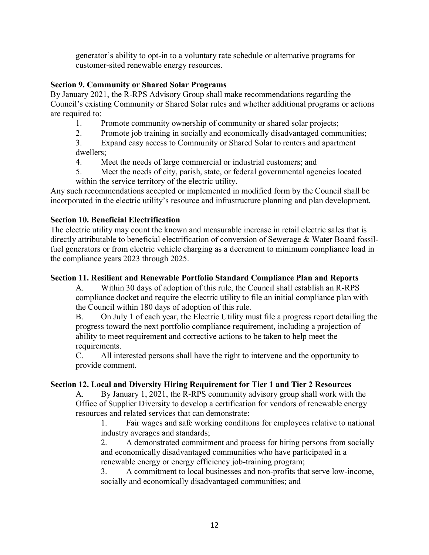generator's ability to opt-in to a voluntary rate schedule or alternative programs for customer-sited renewable energy resources.

## **Section 9. Community or Shared Solar Programs**

By January 2021, the R-RPS Advisory Group shall make recommendations regarding the Council's existing Community or Shared Solar rules and whether additional programs or actions are required to:

- 1. Promote community ownership of community or shared solar projects;
- 2. Promote job training in socially and economically disadvantaged communities;

3. Expand easy access to Community or Shared Solar to renters and apartment dwellers;

- 4. Meet the needs of large commercial or industrial customers; and
- 5. Meet the needs of city, parish, state, or federal governmental agencies located within the service territory of the electric utility.

Any such recommendations accepted or implemented in modified form by the Council shall be incorporated in the electric utility's resource and infrastructure planning and plan development.

# **Section 10. Beneficial Electrification**

The electric utility may count the known and measurable increase in retail electric sales that is directly attributable to beneficial electrification of conversion of Sewerage & Water Board fossilfuel generators or from electric vehicle charging as a decrement to minimum compliance load in the compliance years 2023 through 2025.

## **Section 11. Resilient and Renewable Portfolio Standard Compliance Plan and Reports**

A. Within 30 days of adoption of this rule, the Council shall establish an R-RPS compliance docket and require the electric utility to file an initial compliance plan with the Council within 180 days of adoption of this rule.

B. On July 1 of each year, the Electric Utility must file a progress report detailing the progress toward the next portfolio compliance requirement, including a projection of ability to meet requirement and corrective actions to be taken to help meet the requirements.

C. All interested persons shall have the right to intervene and the opportunity to provide comment.

# **Section 12. Local and Diversity Hiring Requirement for Tier 1 and Tier 2 Resources**

A. By January 1, 2021, the R-RPS community advisory group shall work with the Office of Supplier Diversity to develop a certification for vendors of renewable energy resources and related services that can demonstrate:

1. Fair wages and safe working conditions for employees relative to national industry averages and standards;

2. A demonstrated commitment and process for hiring persons from socially and economically disadvantaged communities who have participated in a renewable energy or energy efficiency job-training program;

3. A commitment to local businesses and non-profits that serve low-income, socially and economically disadvantaged communities; and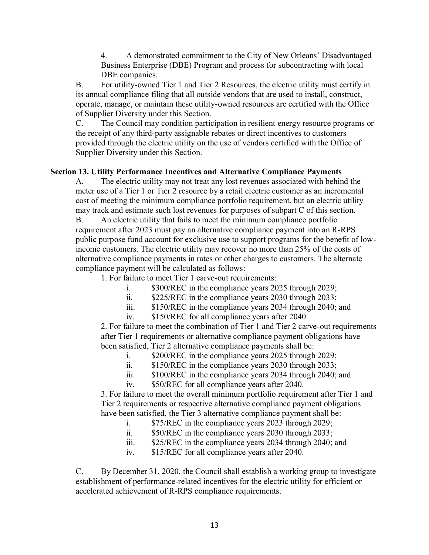4. A demonstrated commitment to the City of New Orleans' Disadvantaged Business Enterprise (DBE) Program and process for subcontracting with local DBE companies.

B. For utility-owned Tier 1 and Tier 2 Resources, the electric utility must certify in its annual compliance filing that all outside vendors that are used to install, construct, operate, manage, or maintain these utility-owned resources are certified with the Office of Supplier Diversity under this Section.

C. The Council may condition participation in resilient energy resource programs or the receipt of any third-party assignable rebates or direct incentives to customers provided through the electric utility on the use of vendors certified with the Office of Supplier Diversity under this Section.

## **Section 13. Utility Performance Incentives and Alternative Compliance Payments**

A. The electric utility may not treat any lost revenues associated with behind the meter use of a Tier 1 or Tier 2 resource by a retail electric customer as an incremental cost of meeting the minimum compliance portfolio requirement, but an electric utility may track and estimate such lost revenues for purposes of subpart C of this section.

B. An electric utility that fails to meet the minimum compliance portfolio requirement after 2023 must pay an alternative compliance payment into an R-RPS public purpose fund account for exclusive use to support programs for the benefit of lowincome customers. The electric utility may recover no more than 25% of the costs of alternative compliance payments in rates or other charges to customers. The alternate compliance payment will be calculated as follows:

1. For failure to meet Tier 1 carve-out requirements:

- i. \$300/REC in the compliance years 2025 through 2029;
- ii. \$225/REC in the compliance years 2030 through 2033;
- iii. \$150/REC in the compliance years 2034 through 2040; and
- iv. \$150/REC for all compliance years after 2040.

2. For failure to meet the combination of Tier 1 and Tier 2 carve-out requirements after Tier 1 requirements or alternative compliance payment obligations have been satisfied, Tier 2 alternative compliance payments shall be:

- i. \$200/REC in the compliance years 2025 through 2029;
- ii. \$150/REC in the compliance years 2030 through 2033;
- iii. \$100/REC in the compliance years 2034 through 2040; and
- iv. \$50/REC for all compliance years after 2040.

3. For failure to meet the overall minimum portfolio requirement after Tier 1 and Tier 2 requirements or respective alternative compliance payment obligations have been satisfied, the Tier 3 alternative compliance payment shall be:

- i. \$75/REC in the compliance years 2023 through 2029;
- ii. \$50/REC in the compliance years 2030 through 2033;
- iii. \$25/REC in the compliance years 2034 through 2040; and
- iv. \$15/REC for all compliance years after 2040.

C. By December 31, 2020, the Council shall establish a working group to investigate establishment of performance-related incentives for the electric utility for efficient or accelerated achievement of R-RPS compliance requirements.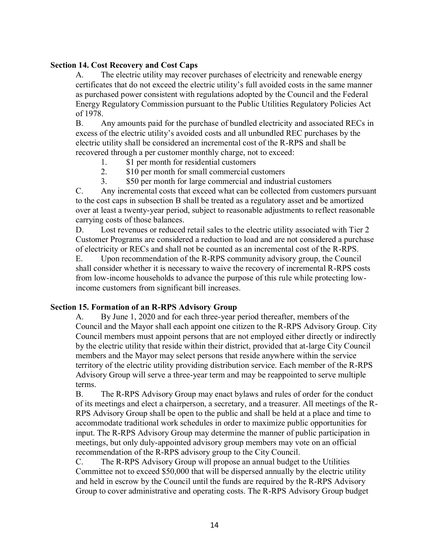### **Section 14. Cost Recovery and Cost Caps**

A. The electric utility may recover purchases of electricity and renewable energy certificates that do not exceed the electric utility's full avoided costs in the same manner as purchased power consistent with regulations adopted by the Council and the Federal Energy Regulatory Commission pursuant to the Public Utilities Regulatory Policies Act of 1978.

B. Any amounts paid for the purchase of bundled electricity and associated RECs in excess of the electric utility's avoided costs and all unbundled REC purchases by the electric utility shall be considered an incremental cost of the R-RPS and shall be recovered through a per customer monthly charge, not to exceed:

- 1. \$1 per month for residential customers
- 2. \$10 per month for small commercial customers
- 3. \$50 per month for large commercial and industrial customers

C. Any incremental costs that exceed what can be collected from customers pursuant to the cost caps in subsection B shall be treated as a regulatory asset and be amortized over at least a twenty-year period, subject to reasonable adjustments to reflect reasonable carrying costs of those balances.

D. Lost revenues or reduced retail sales to the electric utility associated with Tier 2 Customer Programs are considered a reduction to load and are not considered a purchase of electricity or RECs and shall not be counted as an incremental cost of the R-RPS.

E. Upon recommendation of the R-RPS community advisory group, the Council shall consider whether it is necessary to waive the recovery of incremental R-RPS costs from low-income households to advance the purpose of this rule while protecting lowincome customers from significant bill increases.

### **Section 15. Formation of an R-RPS Advisory Group**

A. By June 1, 2020 and for each three-year period thereafter, members of the Council and the Mayor shall each appoint one citizen to the R-RPS Advisory Group. City Council members must appoint persons that are not employed either directly or indirectly by the electric utility that reside within their district, provided that at-large City Council members and the Mayor may select persons that reside anywhere within the service territory of the electric utility providing distribution service. Each member of the R-RPS Advisory Group will serve a three-year term and may be reappointed to serve multiple terms.

B. The R-RPS Advisory Group may enact bylaws and rules of order for the conduct of its meetings and elect a chairperson, a secretary, and a treasurer. All meetings of the R-RPS Advisory Group shall be open to the public and shall be held at a place and time to accommodate traditional work schedules in order to maximize public opportunities for input. The R-RPS Advisory Group may determine the manner of public participation in meetings, but only duly-appointed advisory group members may vote on an official recommendation of the R-RPS advisory group to the City Council.

C. The R-RPS Advisory Group will propose an annual budget to the Utilities Committee not to exceed \$50,000 that will be dispersed annually by the electric utility and held in escrow by the Council until the funds are required by the R-RPS Advisory Group to cover administrative and operating costs. The R-RPS Advisory Group budget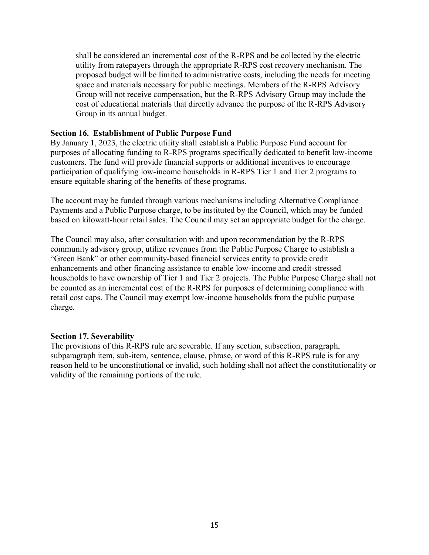shall be considered an incremental cost of the R-RPS and be collected by the electric utility from ratepayers through the appropriate R-RPS cost recovery mechanism. The proposed budget will be limited to administrative costs, including the needs for meeting space and materials necessary for public meetings. Members of the R-RPS Advisory Group will not receive compensation, but the R-RPS Advisory Group may include the cost of educational materials that directly advance the purpose of the R-RPS Advisory Group in its annual budget.

#### **Section 16. Establishment of Public Purpose Fund**

By January 1, 2023, the electric utility shall establish a Public Purpose Fund account for purposes of allocating funding to R-RPS programs specifically dedicated to benefit low-income customers. The fund will provide financial supports or additional incentives to encourage participation of qualifying low-income households in R-RPS Tier 1 and Tier 2 programs to ensure equitable sharing of the benefits of these programs.

The account may be funded through various mechanisms including Alternative Compliance Payments and a Public Purpose charge, to be instituted by the Council, which may be funded based on kilowatt-hour retail sales. The Council may set an appropriate budget for the charge.

The Council may also, after consultation with and upon recommendation by the R-RPS community advisory group, utilize revenues from the Public Purpose Charge to establish a "Green Bank" or other community-based financial services entity to provide credit enhancements and other financing assistance to enable low-income and credit-stressed households to have ownership of Tier 1 and Tier 2 projects. The Public Purpose Charge shall not be counted as an incremental cost of the R-RPS for purposes of determining compliance with retail cost caps. The Council may exempt low-income households from the public purpose charge.

#### **Section 17. Severability**

The provisions of this R-RPS rule are severable. If any section, subsection, paragraph, subparagraph item, sub-item, sentence, clause, phrase, or word of this R-RPS rule is for any reason held to be unconstitutional or invalid, such holding shall not affect the constitutionality or validity of the remaining portions of the rule.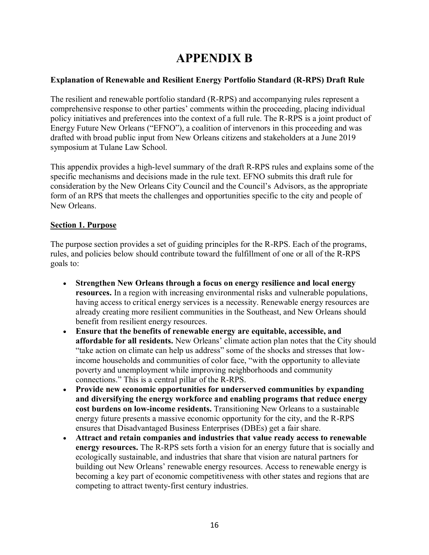# **APPENDIX B**

## **Explanation of Renewable and Resilient Energy Portfolio Standard (R-RPS) Draft Rule**

The resilient and renewable portfolio standard (R-RPS) and accompanying rules represent a comprehensive response to other parties' comments within the proceeding, placing individual policy initiatives and preferences into the context of a full rule. The R-RPS is a joint product of Energy Future New Orleans ("EFNO"), a coalition of intervenors in this proceeding and was drafted with broad public input from New Orleans citizens and stakeholders at a June 2019 symposium at Tulane Law School.

This appendix provides a high-level summary of the draft R-RPS rules and explains some of the specific mechanisms and decisions made in the rule text. EFNO submits this draft rule for consideration by the New Orleans City Council and the Council's Advisors, as the appropriate form of an RPS that meets the challenges and opportunities specific to the city and people of New Orleans.

# **Section 1. Purpose**

The purpose section provides a set of guiding principles for the R-RPS. Each of the programs, rules, and policies below should contribute toward the fulfillment of one or all of the R-RPS goals to:

- **Strengthen New Orleans through a focus on energy resilience and local energy resources.** In a region with increasing environmental risks and vulnerable populations, having access to critical energy services is a necessity. Renewable energy resources are already creating more resilient communities in the Southeast, and New Orleans should benefit from resilient energy resources.
- **Ensure that the benefits of renewable energy are equitable, accessible, and affordable for all residents.** New Orleans' climate action plan notes that the City should "take action on climate can help us address" some of the shocks and stresses that lowincome households and communities of color face, "with the opportunity to alleviate poverty and unemployment while improving neighborhoods and community connections." This is a central pillar of the R-RPS.
- **Provide new economic opportunities for underserved communities by expanding and diversifying the energy workforce and enabling programs that reduce energy cost burdens on low-income residents.** Transitioning New Orleans to a sustainable energy future presents a massive economic opportunity for the city, and the R-RPS ensures that Disadvantaged Business Enterprises (DBEs) get a fair share.
- **Attract and retain companies and industries that value ready access to renewable energy resources.** The R-RPS sets forth a vision for an energy future that is socially and ecologically sustainable, and industries that share that vision are natural partners for building out New Orleans' renewable energy resources. Access to renewable energy is becoming a key part of economic competitiveness with other states and regions that are competing to attract twenty-first century industries.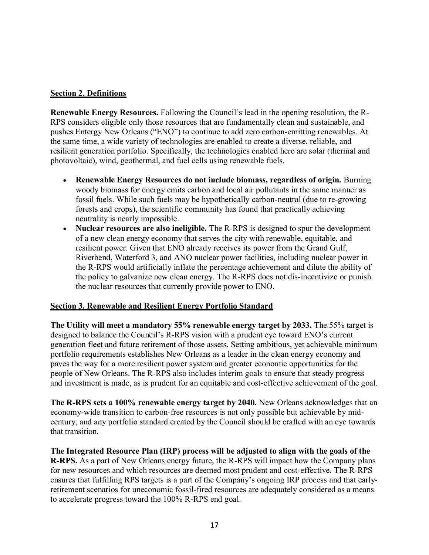## **Section 2. Definitions**

**Renewable Energy Resources.** Following the Council's lead in the opening resolution, the R-RPS considers eligible only those resources that are fundamentally clean and sustainable, and pushes Entergy New Orleans ("ENO") to continue to add zero carbon-emitting renewables. At the same time, a wide variety of technologies are enabled to create a diverse, reliable, and resilient generation portfolio. Specifically, the technologies enabled here are solar (thermal and photovoltaic), wind, geothermal, and fuel cells using renewable fuels.

- **Renewable Energy Resources do not include biomass, regardless of origin.** Burning woody biomass for energy emits carbon and local air pollutants in the same manner as fossil fuels. While such fuels may be hypothetically carbon-neutral (due to re-growing forests and crops), the scientific community has found that practically achieving neutrality is nearly impossible.
- **Nuclear resources are also ineligible.** The R-RPS is designed to spur the development of a new clean energy economy that serves the city with renewable, equitable, and resilient power. Given that ENO already receives its power from the Grand Gulf, Riverbend, Waterford 3, and ANO nuclear power facilities, including nuclear power in the R-RPS would artificially inflate the percentage achievement and dilute the ability of the policy to galvanize new clean energy. The R-RPS does not dis-incentivize or punish the nuclear resources that currently provide power to ENO.

## **Section 3. Renewable and Resilient Energy Portfolio Standard**

**The Utility will meet a mandatory 55% renewable energy target by 2033.** The 55% target is designed to balance the Council's R-RPS vision with a prudent eye toward ENO's current generation fleet and future retirement of those assets. Setting ambitious, yet achievable minimum portfolio requirements establishes New Orleans as a leader in the clean energy economy and paves the way for a more resilient power system and greater economic opportunities for the people of New Orleans. The R-RPS also includes interim goals to ensure that steady progress and investment is made, as is prudent for an equitable and cost-effective achievement of the goal.

**The R-RPS sets a 100% renewable energy target by 2040.** New Orleans acknowledges that an economy-wide transition to carbon-free resources is not only possible but achievable by midcentury, and any portfolio standard created by the Council should be crafted with an eye towards that transition.

**The Integrated Resource Plan (IRP) process will be adjusted to align with the goals of the R-RPS.** As a part of New Orleans energy future, the R-RPS will impact how the Company plans for new resources and which resources are deemed most prudent and cost-effective. The R-RPS ensures that fulfilling RPS targets is a part of the Company's ongoing IRP process and that earlyretirement scenarios for uneconomic fossil-fired resources are adequately considered as a means to accelerate progress toward the 100% R-RPS end goal.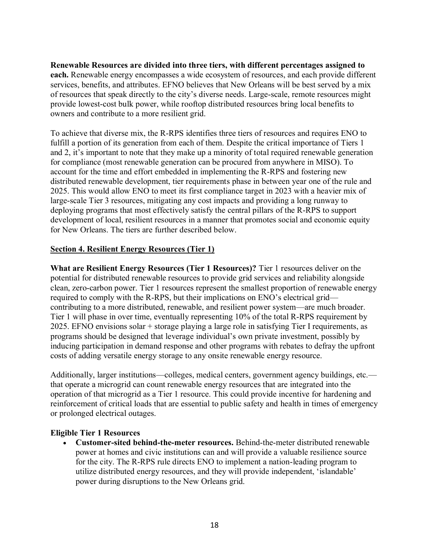**Renewable Resources are divided into three tiers, with different percentages assigned to each.** Renewable energy encompasses a wide ecosystem of resources, and each provide different services, benefits, and attributes. EFNO believes that New Orleans will be best served by a mix of resources that speak directly to the city's diverse needs. Large-scale, remote resources might provide lowest-cost bulk power, while rooftop distributed resources bring local benefits to owners and contribute to a more resilient grid.

To achieve that diverse mix, the R-RPS identifies three tiers of resources and requires ENO to fulfill a portion of its generation from each of them. Despite the critical importance of Tiers 1 and 2, it's important to note that they make up a minority of total required renewable generation for compliance (most renewable generation can be procured from anywhere in MISO). To account for the time and effort embedded in implementing the R-RPS and fostering new distributed renewable development, tier requirements phase in between year one of the rule and 2025. This would allow ENO to meet its first compliance target in 2023 with a heavier mix of large-scale Tier 3 resources, mitigating any cost impacts and providing a long runway to deploying programs that most effectively satisfy the central pillars of the R-RPS to support development of local, resilient resources in a manner that promotes social and economic equity for New Orleans. The tiers are further described below.

### **Section 4. Resilient Energy Resources (Tier 1)**

**What are Resilient Energy Resources (Tier 1 Resources)?** Tier 1 resources deliver on the potential for distributed renewable resources to provide grid services and reliability alongside clean, zero-carbon power. Tier 1 resources represent the smallest proportion of renewable energy required to comply with the R-RPS, but their implications on ENO's electrical grid contributing to a more distributed, renewable, and resilient power system—are much broader. Tier 1 will phase in over time, eventually representing 10% of the total R-RPS requirement by 2025. EFNO envisions solar + storage playing a large role in satisfying Tier I requirements, as programs should be designed that leverage individual's own private investment, possibly by inducing participation in demand response and other programs with rebates to defray the upfront costs of adding versatile energy storage to any onsite renewable energy resource.

Additionally, larger institutions—colleges, medical centers, government agency buildings, etc. that operate a microgrid can count renewable energy resources that are integrated into the operation of that microgrid as a Tier 1 resource. This could provide incentive for hardening and reinforcement of critical loads that are essential to public safety and health in times of emergency or prolonged electrical outages.

### **Eligible Tier 1 Resources**

• **Customer-sited behind-the-meter resources.** Behind-the-meter distributed renewable power at homes and civic institutions can and will provide a valuable resilience source for the city. The R-RPS rule directs ENO to implement a nation-leading program to utilize distributed energy resources, and they will provide independent, 'islandable' power during disruptions to the New Orleans grid.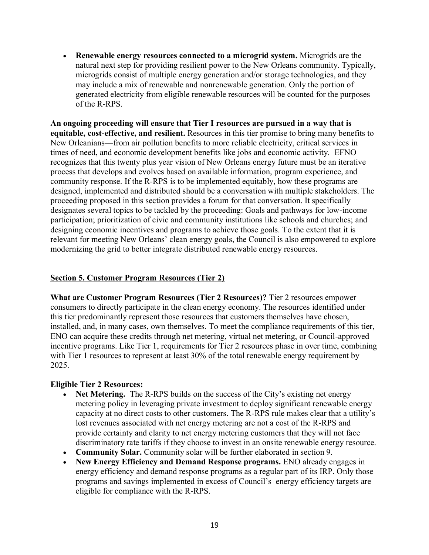• **Renewable energy resources connected to a microgrid system.** Microgrids are the natural next step for providing resilient power to the New Orleans community. Typically, microgrids consist of multiple energy generation and/or storage technologies, and they may include a mix of renewable and nonrenewable generation. Only the portion of generated electricity from eligible renewable resources will be counted for the purposes of the R-RPS.

**An ongoing proceeding will ensure that Tier I resources are pursued in a way that is equitable, cost-effective, and resilient.** Resources in this tier promise to bring many benefits to New Orleanians—from air pollution benefits to more reliable electricity, critical services in times of need, and economic development benefits like jobs and economic activity. EFNO recognizes that this twenty plus year vision of New Orleans energy future must be an iterative process that develops and evolves based on available information, program experience, and community response. If the R-RPS is to be implemented equitably, how these programs are designed, implemented and distributed should be a conversation with multiple stakeholders. The proceeding proposed in this section provides a forum for that conversation. It specifically designates several topics to be tackled by the proceeding: Goals and pathways for low-income participation; prioritization of civic and community institutions like schools and churches; and designing economic incentives and programs to achieve those goals. To the extent that it is relevant for meeting New Orleans' clean energy goals, the Council is also empowered to explore modernizing the grid to better integrate distributed renewable energy resources.

## **Section 5. Customer Program Resources (Tier 2)**

**What are Customer Program Resources (Tier 2 Resources)?** Tier 2 resources empower consumers to directly participate in the clean energy economy. The resources identified under this tier predominantly represent those resources that customers themselves have chosen, installed, and, in many cases, own themselves. To meet the compliance requirements of this tier, ENO can acquire these credits through net metering, virtual net metering, or Council-approved incentive programs. Like Tier 1, requirements for Tier 2 resources phase in over time, combining with Tier 1 resources to represent at least 30% of the total renewable energy requirement by 2025.

## **Eligible Tier 2 Resources:**

- **Net Metering.** The R-RPS builds on the success of the City's existing net energy metering policy in leveraging private investment to deploy significant renewable energy capacity at no direct costs to other customers. The R-RPS rule makes clear that a utility's lost revenues associated with net energy metering are not a cost of the R-RPS and provide certainty and clarity to net energy metering customers that they will not face discriminatory rate tariffs if they choose to invest in an onsite renewable energy resource.
- **Community Solar.** Community solar will be further elaborated in section 9.
- **New Energy Efficiency and Demand Response programs.** ENO already engages in energy efficiency and demand response programs as a regular part of its IRP. Only those programs and savings implemented in excess of Council's energy efficiency targets are eligible for compliance with the R-RPS.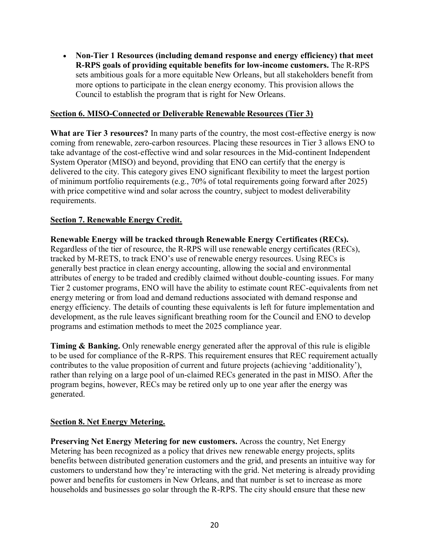• **Non-Tier 1 Resources (including demand response and energy efficiency) that meet R-RPS goals of providing equitable benefits for low-income customers.** The R-RPS sets ambitious goals for a more equitable New Orleans, but all stakeholders benefit from more options to participate in the clean energy economy. This provision allows the Council to establish the program that is right for New Orleans.

### **Section 6. MISO-Connected or Deliverable Renewable Resources (Tier 3)**

**What are Tier 3 resources?** In many parts of the country, the most cost-effective energy is now coming from renewable, zero-carbon resources. Placing these resources in Tier 3 allows ENO to take advantage of the cost-effective wind and solar resources in the Mid-continent Independent System Operator (MISO) and beyond, providing that ENO can certify that the energy is delivered to the city. This category gives ENO significant flexibility to meet the largest portion of minimum portfolio requirements (e.g., 70% of total requirements going forward after 2025) with price competitive wind and solar across the country, subject to modest deliverability requirements.

### **Section 7. Renewable Energy Credit.**

**Renewable Energy will be tracked through Renewable Energy Certificates (RECs).**  Regardless of the tier of resource, the R-RPS will use renewable energy certificates (RECs), tracked by M-RETS, to track ENO's use of renewable energy resources. Using RECs is generally best practice in clean energy accounting, allowing the social and environmental attributes of energy to be traded and credibly claimed without double-counting issues. For many Tier 2 customer programs, ENO will have the ability to estimate count REC-equivalents from net energy metering or from load and demand reductions associated with demand response and energy efficiency. The details of counting these equivalents is left for future implementation and development, as the rule leaves significant breathing room for the Council and ENO to develop programs and estimation methods to meet the 2025 compliance year.

**Timing & Banking.** Only renewable energy generated after the approval of this rule is eligible to be used for compliance of the R-RPS. This requirement ensures that REC requirement actually contributes to the value proposition of current and future projects (achieving 'additionality'), rather than relying on a large pool of un-claimed RECs generated in the past in MISO. After the program begins, however, RECs may be retired only up to one year after the energy was generated.

## **Section 8. Net Energy Metering.**

**Preserving Net Energy Metering for new customers.** Across the country, Net Energy Metering has been recognized as a policy that drives new renewable energy projects, splits benefits between distributed generation customers and the grid, and presents an intuitive way for customers to understand how they're interacting with the grid. Net metering is already providing power and benefits for customers in New Orleans, and that number is set to increase as more households and businesses go solar through the R-RPS. The city should ensure that these new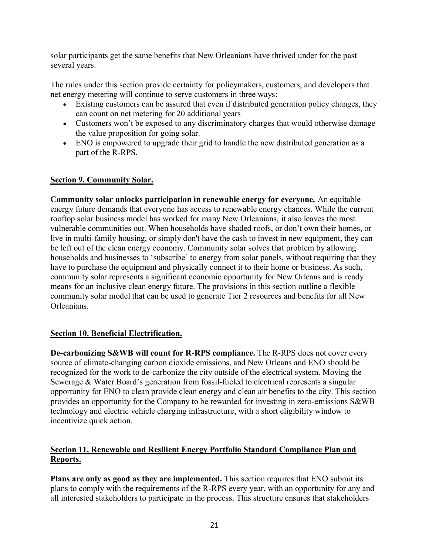solar participants get the same benefits that New Orleanians have thrived under for the past several years.

The rules under this section provide certainty for policymakers, customers, and developers that net energy metering will continue to serve customers in three ways:

- Existing customers can be assured that even if distributed generation policy changes, they can count on net metering for 20 additional years
- Customers won't be exposed to any discriminatory charges that would otherwise damage the value proposition for going solar.
- ENO is empowered to upgrade their grid to handle the new distributed generation as a part of the R-RPS.

## **Section 9. Community Solar.**

**Community solar unlocks participation in renewable energy for everyone.** An equitable energy future demands that everyone has access to renewable energy chances. While the current rooftop solar business model has worked for many New Orleanians, it also leaves the most vulnerable communities out. When households have shaded roofs, or don't own their homes, or live in multi-family housing, or simply don't have the cash to invest in new equipment, they can be left out of the clean energy economy. Community solar solves that problem by allowing households and businesses to 'subscribe' to energy from solar panels, without requiring that they have to purchase the equipment and physically connect it to their home or business. As such, community solar represents a significant economic opportunity for New Orleans and is ready means for an inclusive clean energy future. The provisions in this section outline a flexible community solar model that can be used to generate Tier 2 resources and benefits for all New **Orleanians** 

## **Section 10. Beneficial Electrification.**

**De-carbonizing S&WB will count for R-RPS compliance.** The R-RPS does not cover every source of climate-changing carbon dioxide emissions, and New Orleans and ENO should be recognized for the work to de-carbonize the city outside of the electrical system. Moving the Sewerage & Water Board's generation from fossil-fueled to electrical represents a singular opportunity for ENO to clean provide clean energy and clean air benefits to the city. This section provides an opportunity for the Company to be rewarded for investing in zero-emissions S&WB technology and electric vehicle charging infrastructure, with a short eligibility window to incentivize quick action.

# **Section 11. Renewable and Resilient Energy Portfolio Standard Compliance Plan and Reports.**

**Plans are only as good as they are implemented.** This section requires that ENO submit its plans to comply with the requirements of the R-RPS every year, with an opportunity for any and all interested stakeholders to participate in the process. This structure ensures that stakeholders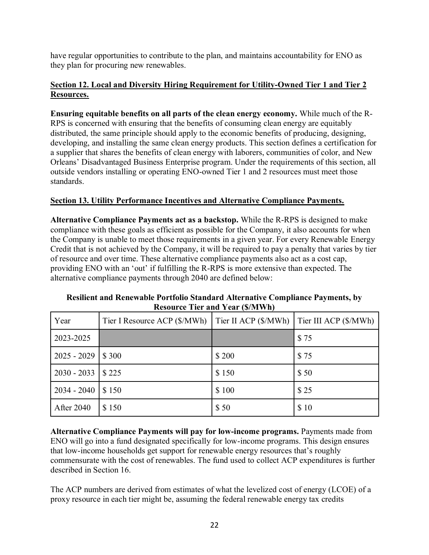have regular opportunities to contribute to the plan, and maintains accountability for ENO as they plan for procuring new renewables.

# **Section 12. Local and Diversity Hiring Requirement for Utility-Owned Tier 1 and Tier 2 Resources.**

**Ensuring equitable benefits on all parts of the clean energy economy.** While much of the R-RPS is concerned with ensuring that the benefits of consuming clean energy are equitably distributed, the same principle should apply to the economic benefits of producing, designing, developing, and installing the same clean energy products. This section defines a certification for a supplier that shares the benefits of clean energy with laborers, communities of color, and New Orleans' Disadvantaged Business Enterprise program. Under the requirements of this section, all outside vendors installing or operating ENO-owned Tier 1 and 2 resources must meet those standards.

# **Section 13. Utility Performance Incentives and Alternative Compliance Payments.**

**Alternative Compliance Payments act as a backstop.** While the R-RPS is designed to make compliance with these goals as efficient as possible for the Company, it also accounts for when the Company is unable to meet those requirements in a given year. For every Renewable Energy Credit that is not achieved by the Company, it will be required to pay a penalty that varies by tier of resource and over time. These alternative compliance payments also act as a cost cap, providing ENO with an 'out' if fulfilling the R-RPS is more extensive than expected. The alternative compliance payments through 2040 are defined below:

| Year              | Tier I Resource ACP (\$/MWh) | Tier II ACP (\$/MWh) | Tier III ACP (\$/MWh) |
|-------------------|------------------------------|----------------------|-----------------------|
| 2023-2025         |                              |                      | \$75                  |
| $2025 - 2029$     | \$300                        | \$200                | \$75                  |
| $2030 - 2033$     | \$225                        | \$150                | \$50                  |
| $2034 - 2040$     | \$150                        | \$100                | \$25                  |
| <b>After 2040</b> | \$150                        | \$50                 | \$10                  |

**Resilient and Renewable Portfolio Standard Alternative Compliance Payments, by Resource Tier and Year (\$/MWh)**

**Alternative Compliance Payments will pay for low-income programs.** Payments made from ENO will go into a fund designated specifically for low-income programs. This design ensures that low-income households get support for renewable energy resources that's roughly commensurate with the cost of renewables. The fund used to collect ACP expenditures is further described in Section 16.

The ACP numbers are derived from estimates of what the levelized cost of energy (LCOE) of a proxy resource in each tier might be, assuming the federal renewable energy tax credits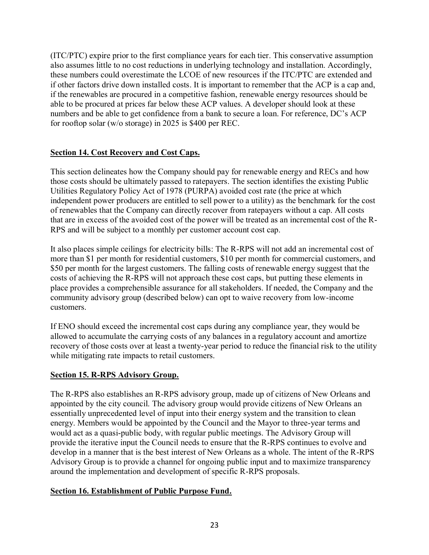(ITC/PTC) expire prior to the first compliance years for each tier. This conservative assumption also assumes little to no cost reductions in underlying technology and installation. Accordingly, these numbers could overestimate the LCOE of new resources if the ITC/PTC are extended and if other factors drive down installed costs. It is important to remember that the ACP is a cap and, if the renewables are procured in a competitive fashion, renewable energy resources should be able to be procured at prices far below these ACP values. A developer should look at these numbers and be able to get confidence from a bank to secure a loan. For reference, DC's ACP for rooftop solar (w/o storage) in 2025 is \$400 per REC.

# **Section 14. Cost Recovery and Cost Caps.**

This section delineates how the Company should pay for renewable energy and RECs and how those costs should be ultimately passed to ratepayers. The section identifies the existing Public Utilities Regulatory Policy Act of 1978 (PURPA) avoided cost rate (the price at which independent power producers are entitled to sell power to a utility) as the benchmark for the cost of renewables that the Company can directly recover from ratepayers without a cap. All costs that are in excess of the avoided cost of the power will be treated as an incremental cost of the R-RPS and will be subject to a monthly per customer account cost cap.

It also places simple ceilings for electricity bills: The R-RPS will not add an incremental cost of more than \$1 per month for residential customers, \$10 per month for commercial customers, and \$50 per month for the largest customers. The falling costs of renewable energy suggest that the costs of achieving the R-RPS will not approach these cost caps, but putting these elements in place provides a comprehensible assurance for all stakeholders. If needed, the Company and the community advisory group (described below) can opt to waive recovery from low-income customers.

If ENO should exceed the incremental cost caps during any compliance year, they would be allowed to accumulate the carrying costs of any balances in a regulatory account and amortize recovery of those costs over at least a twenty-year period to reduce the financial risk to the utility while mitigating rate impacts to retail customers.

## **Section 15. R-RPS Advisory Group.**

The R-RPS also establishes an R-RPS advisory group, made up of citizens of New Orleans and appointed by the city council. The advisory group would provide citizens of New Orleans an essentially unprecedented level of input into their energy system and the transition to clean energy. Members would be appointed by the Council and the Mayor to three-year terms and would act as a quasi-public body, with regular public meetings. The Advisory Group will provide the iterative input the Council needs to ensure that the R-RPS continues to evolve and develop in a manner that is the best interest of New Orleans as a whole. The intent of the R-RPS Advisory Group is to provide a channel for ongoing public input and to maximize transparency around the implementation and development of specific R-RPS proposals.

## **Section 16. Establishment of Public Purpose Fund.**